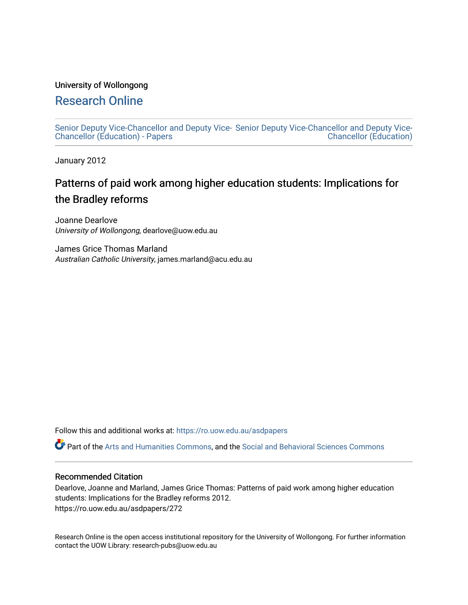# University of Wollongong

# [Research Online](https://ro.uow.edu.au/)

[Senior Deputy Vice-Chancellor and Deputy Vice-](https://ro.uow.edu.au/asdpapers)[Senior Deputy Vice-Chancellor and Deputy Vice-](https://ro.uow.edu.au/asd)[Chancellor \(Education\) - Papers](https://ro.uow.edu.au/asdpapers)  [Chancellor \(Education\)](https://ro.uow.edu.au/asd) 

January 2012

# Patterns of paid work among higher education students: Implications for the Bradley reforms

Joanne Dearlove University of Wollongong, dearlove@uow.edu.au

James Grice Thomas Marland Australian Catholic University, james.marland@acu.edu.au

Follow this and additional works at: [https://ro.uow.edu.au/asdpapers](https://ro.uow.edu.au/asdpapers?utm_source=ro.uow.edu.au%2Fasdpapers%2F272&utm_medium=PDF&utm_campaign=PDFCoverPages) 

Part of the [Arts and Humanities Commons,](http://network.bepress.com/hgg/discipline/438?utm_source=ro.uow.edu.au%2Fasdpapers%2F272&utm_medium=PDF&utm_campaign=PDFCoverPages) and the [Social and Behavioral Sciences Commons](http://network.bepress.com/hgg/discipline/316?utm_source=ro.uow.edu.au%2Fasdpapers%2F272&utm_medium=PDF&utm_campaign=PDFCoverPages)

### Recommended Citation

Dearlove, Joanne and Marland, James Grice Thomas: Patterns of paid work among higher education students: Implications for the Bradley reforms 2012. https://ro.uow.edu.au/asdpapers/272

Research Online is the open access institutional repository for the University of Wollongong. For further information contact the UOW Library: research-pubs@uow.edu.au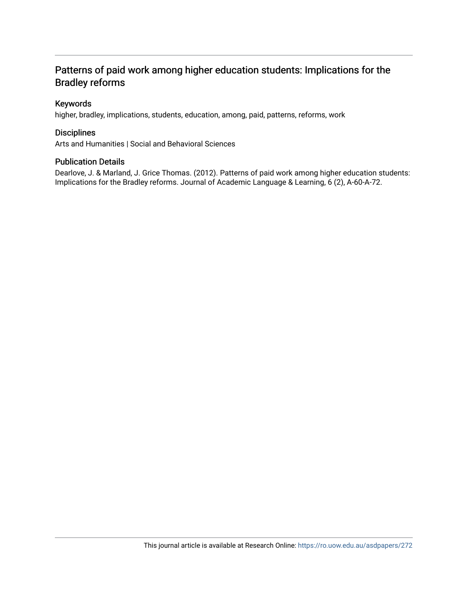# Patterns of paid work among higher education students: Implications for the Bradley reforms

## Keywords

higher, bradley, implications, students, education, among, paid, patterns, reforms, work

### **Disciplines**

Arts and Humanities | Social and Behavioral Sciences

#### Publication Details

Dearlove, J. & Marland, J. Grice Thomas. (2012). Patterns of paid work among higher education students: Implications for the Bradley reforms. Journal of Academic Language & Learning, 6 (2), A-60-A-72.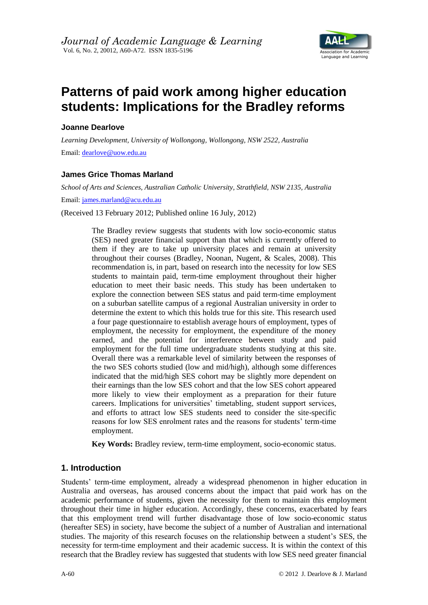

# **Patterns of paid work among higher education students: Implications for the Bradley reforms**

## **Joanne Dearlove**

*Learning Development, University of Wollongong, Wollongong, NSW 2522, Australia* Email: [dearlove@uow.edu.au](mailto:dearlove@uow.edu.au)

# **James Grice Thomas Marland**

*School of Arts and Sciences, Australian Catholic University, Strathfield, NSW 2135, Australia*

Email: [james.marland@acu.edu.au](mailto:james.marland@acu.edu.au)

(Received 13 February 2012; Published online 16 July, 2012)

The Bradley review suggests that students with low socio-economic status (SES) need greater financial support than that which is currently offered to them if they are to take up university places and remain at university throughout their courses (Bradley, Noonan, Nugent, & Scales, 2008). This recommendation is, in part, based on research into the necessity for low SES students to maintain paid, term-time employment throughout their higher education to meet their basic needs. This study has been undertaken to explore the connection between SES status and paid term-time employment on a suburban satellite campus of a regional Australian university in order to determine the extent to which this holds true for this site. This research used a four page questionnaire to establish average hours of employment, types of employment, the necessity for employment, the expenditure of the money earned, and the potential for interference between study and paid employment for the full time undergraduate students studying at this site. Overall there was a remarkable level of similarity between the responses of the two SES cohorts studied (low and mid/high), although some differences indicated that the mid/high SES cohort may be slightly more dependent on their earnings than the low SES cohort and that the low SES cohort appeared more likely to view their employment as a preparation for their future careers. Implications for universities' timetabling, student support services, and efforts to attract low SES students need to consider the site-specific reasons for low SES enrolment rates and the reasons for students' term-time employment.

**Key Words:** Bradley review, term-time employment, socio-economic status.

# **1. Introduction**

Students' term-time employment, already a widespread phenomenon in higher education in Australia and overseas, has aroused concerns about the impact that paid work has on the academic performance of students, given the necessity for them to maintain this employment throughout their time in higher education. Accordingly, these concerns, exacerbated by fears that this employment trend will further disadvantage those of low socio-economic status (hereafter SES) in society, have become the subject of a number of Australian and international studies. The majority of this research focuses on the relationship between a student's SES, the necessity for term-time employment and their academic success. It is within the context of this research that the Bradley review has suggested that students with low SES need greater financial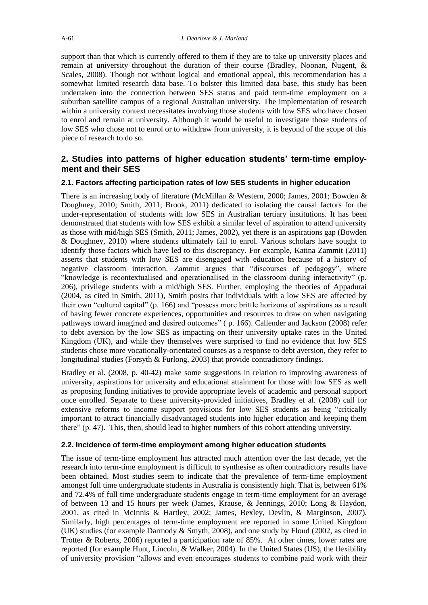support than that which is currently offered to them if they are to take up university places and remain at university throughout the duration of their course (Bradley, Noonan, Nugent, & Scales, 2008). Though not without logical and emotional appeal, this recommendation has a somewhat limited research data base. To bolster this limited data base, this study has been undertaken into the connection between SES status and paid term-time employment on a suburban satellite campus of a regional Australian university. The implementation of research within a university context necessitates involving those students with low SES who have chosen to enrol and remain at university. Although it would be useful to investigate those students of low SES who chose not to enrol or to withdraw from university, it is beyond of the scope of this piece of research to do so.

# **2. Studies into patterns of higher education students' term-time employment and their SES**

#### **2.1. Factors affecting participation rates of low SES students in higher education**

There is an increasing body of literature (McMillan & Western, 2000; James, 2001; Bowden & Doughney, 2010; Smith, 2011; Brook, 2011) dedicated to isolating the causal factors for the under-representation of students with low SES in Australian tertiary institutions. It has been demonstrated that students with low SES exhibit a similar level of aspiration to attend university as those with mid/high SES (Smith, 2011; James, 2002), yet there is an aspirations gap (Bowden & Doughney, 2010) where students ultimately fail to enrol. Various scholars have sought to identify those factors which have led to this discrepancy. For example, Katina Zammit (2011) asserts that students with low SES are disengaged with education because of a history of negative classroom interaction. Zammit argues that "discourses of pedagogy", where "knowledge is recontextualised and operationalised in the classroom during interactivity" (p. 206), privilege students with a mid/high SES. Further, employing the theories of Appadurai (2004, as cited in Smith, 2011), Smith posits that individuals with a low SES are affected by their own "cultural capital" (p. 166) and "possess more brittle horizons of aspirations as a result of having fewer concrete experiences, opportunities and resources to draw on when navigating pathways toward imagined and desired outcomes" ( p. 166). Callender and Jackson (2008) refer to debt aversion by the low SES as impacting on their university uptake rates in the United Kingdom (UK), and while they themselves were surprised to find no evidence that low SES students chose more vocationally-orientated courses as a response to debt aversion, they refer to longitudinal studies (Forsyth & Furlong, 2003) that provide contradictory findings.

Bradley et al. (2008, p. 40-42) make some suggestions in relation to improving awareness of university, aspirations for university and educational attainment for those with low SES as well as proposing funding initiatives to provide appropriate levels of academic and personal support once enrolled. Separate to these university-provided initiatives, Bradley et al. (2008) call for extensive reforms to income support provisions for low SES students as being "critically important to attract financially disadvantaged students into higher education and keeping them there" (p. 47). This, then, should lead to higher numbers of this cohort attending university.

#### **2.2. Incidence of term-time employment among higher education students**

The issue of term-time employment has attracted much attention over the last decade, yet the research into term-time employment is difficult to synthesise as often contradictory results have been obtained. Most studies seem to indicate that the prevalence of term-time employment amongst full time undergraduate students in Australia is consistently high. That is, between 61% and 72.4% of full time undergraduate students engage in term-time employment for an average of between 13 and 15 hours per week (James, Krause, & Jennings, 2010; Long & Haydon, 2001, as cited in McInnis & Hartley, 2002; James, Bexley, Devlin, & Marginson, 2007). Similarly, high percentages of term-time employment are reported in some United Kingdom (UK) studies (for example Darmody & Smyth, 2008), and one study by Floud (2002, as cited in Trotter & Roberts, 2006) reported a participation rate of 85%. At other times, lower rates are reported (for example Hunt, Lincoln, & Walker, 2004). In the United States (US), the flexibility of university provision "allows and even encourages students to combine paid work with their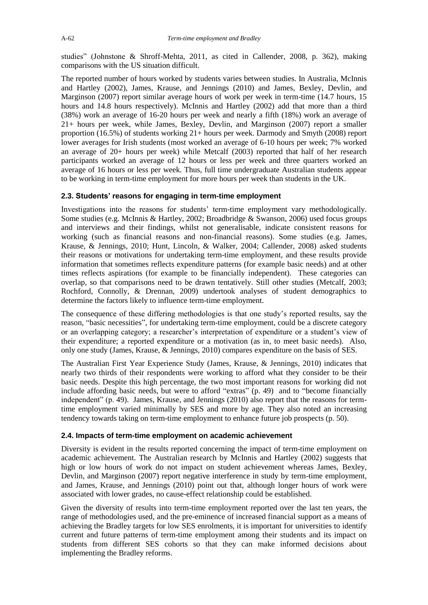studies" (Johnstone & Shroff-Mehta, 2011, as cited in Callender, 2008, p. 362), making comparisons with the US situation difficult.

The reported number of hours worked by students varies between studies. In Australia, McInnis and Hartley (2002), James, Krause, and Jennings (2010) and James, Bexley, Devlin, and Marginson (2007) report similar average hours of work per week in term-time (14.7 hours, 15 hours and 14.8 hours respectively). McInnis and Hartley (2002) add that more than a third (38%) work an average of 16-20 hours per week and nearly a fifth (18%) work an average of 21+ hours per week, while James, Bexley, Devlin, and Marginson (2007) report a smaller proportion (16.5%) of students working 21+ hours per week. Darmody and Smyth (2008) report lower averages for Irish students (most worked an average of 6-10 hours per week; 7% worked an average of 20+ hours per week) while Metcalf (2003) reported that half of her research participants worked an average of 12 hours or less per week and three quarters worked an average of 16 hours or less per week. Thus, full time undergraduate Australian students appear to be working in term-time employment for more hours per week than students in the UK.

#### **2.3. Students' reasons for engaging in term-time employment**

Investigations into the reasons for students' term-time employment vary methodologically. Some studies (e.g. McInnis & Hartley, 2002; Broadbridge & Swanson, 2006) used focus groups and interviews and their findings, whilst not generalisable, indicate consistent reasons for working (such as financial reasons and non-financial reasons). Some studies (e.g. James, Krause, & Jennings, 2010; Hunt, Lincoln, & Walker, 2004; Callender, 2008) asked students their reasons or motivations for undertaking term-time employment, and these results provide information that sometimes reflects expenditure patterns (for example basic needs) and at other times reflects aspirations (for example to be financially independent). These categories can overlap, so that comparisons need to be drawn tentatively. Still other studies (Metcalf, 2003; Rochford, Connolly, & Drennan, 2009) undertook analyses of student demographics to determine the factors likely to influence term-time employment.

The consequence of these differing methodologies is that one study's reported results, say the reason, "basic necessities", for undertaking term-time employment, could be a discrete category or an overlapping category; a researcher's interpretation of expenditure or a student's view of their expenditure; a reported expenditure or a motivation (as in, to meet basic needs). Also, only one study (James, Krause, & Jennings, 2010) compares expenditure on the basis of SES.

The Australian First Year Experience Study (James, Krause, & Jennings, 2010) indicates that nearly two thirds of their respondents were working to afford what they consider to be their basic needs. Despite this high percentage, the two most important reasons for working did not include affording basic needs, but were to afford "extras" (p. 49) and to "become financially independent" (p. 49). James, Krause, and Jennings (2010) also report that the reasons for termtime employment varied minimally by SES and more by age. They also noted an increasing tendency towards taking on term-time employment to enhance future job prospects (p. 50).

#### **2.4. Impacts of term-time employment on academic achievement**

Diversity is evident in the results reported concerning the impact of term-time employment on academic achievement. The Australian research by McInnis and Hartley (2002) suggests that high or low hours of work do not impact on student achievement whereas James, Bexley, Devlin, and Marginson (2007) report negative interference in study by term-time employment, and James, Krause, and Jennings (2010) point out that, although longer hours of work were associated with lower grades, no cause-effect relationship could be established.

Given the diversity of results into term-time employment reported over the last ten years, the range of methodologies used, and the pre-eminence of increased financial support as a means of achieving the Bradley targets for low SES enrolments, it is important for universities to identify current and future patterns of term-time employment among their students and its impact on students from different SES cohorts so that they can make informed decisions about implementing the Bradley reforms.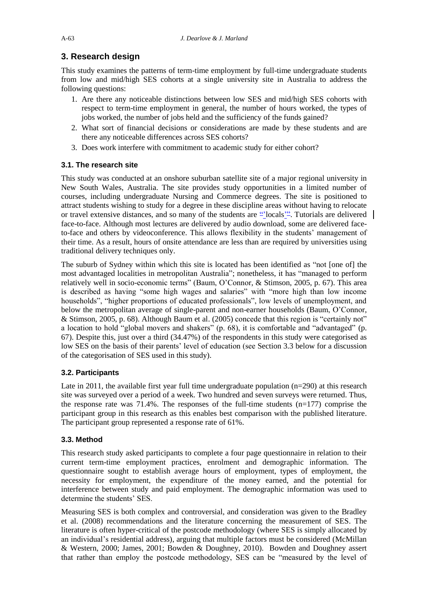# **3. Research design**

This study examines the patterns of term-time employment by full-time undergraduate students from low and mid/high SES cohorts at a single university site in Australia to address the following questions:

- 1. Are there any noticeable distinctions between low SES and mid/high SES cohorts with respect to term-time employment in general, the number of hours worked, the types of jobs worked, the number of jobs held and the sufficiency of the funds gained?
- 2. What sort of financial decisions or considerations are made by these students and are there any noticeable differences across SES cohorts?
- 3. Does work interfere with commitment to academic study for either cohort?

# **3.1. The research site**

This study was conducted at an onshore suburban satellite site of a major regional university in New South Wales, Australia. The site provides study opportunities in a limited number of courses, including undergraduate Nursing and Commerce degrees. The site is positioned to attract students wishing to study for a degree in these discipline areas without having to relocate or travel extensive distances, and so many of the students are "locals". Tutorials are delivered face-to-face. Although most lectures are delivered by audio download, some are delivered faceto-face and others by videoconference. This allows flexibility in the students' management of their time. As a result, hours of onsite attendance are less than are required by universities using traditional delivery techniques only.

The suburb of Sydney within which this site is located has been identified as "not [one of] the most advantaged localities in metropolitan Australia"; nonetheless, it has "managed to perform relatively well in socio-economic terms" (Baum, O'Connor, & Stimson, 2005, p. 67). This area is described as having "some high wages and salaries" with "more high than low income households", "higher proportions of educated professionals", low levels of unemployment, and below the metropolitan average of single-parent and non-earner households (Baum, O'Connor, & Stimson, 2005, p. 68). Although Baum et al. (2005) concede that this region is "certainly not" a location to hold "global movers and shakers" (p. 68), it is comfortable and "advantaged" (p. 67). Despite this, just over a third (34.47%) of the respondents in this study were categorised as low SES on the basis of their parents' level of education (see Section 3.3 below for a discussion of the categorisation of SES used in this study).

# **3.2. Participants**

Late in 2011, the available first year full time undergraduate population  $(n=290)$  at this research site was surveyed over a period of a week. Two hundred and seven surveys were returned. Thus, the response rate was  $71.4\%$ . The responses of the full-time students  $(n=177)$  comprise the participant group in this research as this enables best comparison with the published literature. The participant group represented a response rate of 61%.

# **3.3. Method**

This research study asked participants to complete a four page questionnaire in relation to their current term-time employment practices, enrolment and demographic information. The questionnaire sought to establish average hours of employment, types of employment, the necessity for employment, the expenditure of the money earned, and the potential for interference between study and paid employment. The demographic information was used to determine the students' SES.

Measuring SES is both complex and controversial, and consideration was given to the Bradley et al. (2008) recommendations and the literature concerning the measurement of SES. The literature is often hyper-critical of the postcode methodology (where SES is simply allocated by an individual's residential address), arguing that multiple factors must be considered (McMillan & Western, 2000; James, 2001; Bowden & Doughney, 2010). Bowden and Doughney assert that rather than employ the postcode methodology, SES can be "measured by the level of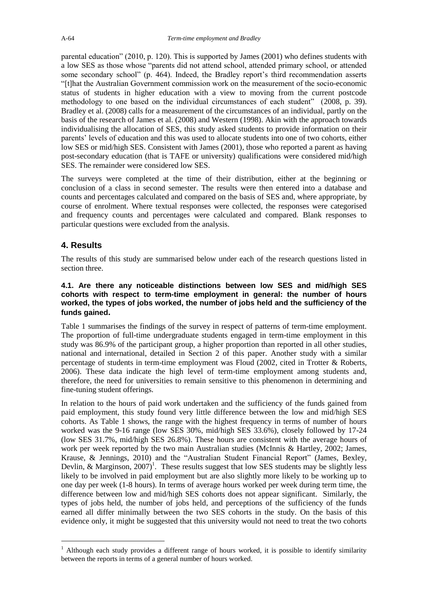parental education" (2010, p. 120). This is supported by James (2001) who defines students with a low SES as those whose "parents did not attend school, attended primary school, or attended some secondary school" (p. 464). Indeed, the Bradley report's third recommendation asserts "[t]hat the Australian Government commission work on the measurement of the socio-economic status of students in higher education with a view to moving from the current postcode methodology to one based on the individual circumstances of each student" (2008, p. 39). Bradley et al. (2008) calls for a measurement of the circumstances of an individual, partly on the basis of the research of James et al. (2008) and Western (1998). Akin with the approach towards individualising the allocation of SES, this study asked students to provide information on their parents' levels of education and this was used to allocate students into one of two cohorts, either low SES or mid/high SES. Consistent with James (2001), those who reported a parent as having post-secondary education (that is TAFE or university) qualifications were considered mid/high SES. The remainder were considered low SES.

The surveys were completed at the time of their distribution, either at the beginning or conclusion of a class in second semester. The results were then entered into a database and counts and percentages calculated and compared on the basis of SES and, where appropriate, by course of enrolment. Where textual responses were collected, the responses were categorised and frequency counts and percentages were calculated and compared. Blank responses to particular questions were excluded from the analysis.

# **4. Results**

1

The results of this study are summarised below under each of the research questions listed in section three.

#### **4.1. Are there any noticeable distinctions between low SES and mid/high SES cohorts with respect to term-time employment in general: the number of hours worked, the types of jobs worked, the number of jobs held and the sufficiency of the funds gained.**

Table 1 summarises the findings of the survey in respect of patterns of term-time employment. The proportion of full-time undergraduate students engaged in term-time employment in this study was 86.9% of the participant group, a higher proportion than reported in all other studies, national and international, detailed in Section 2 of this paper. Another study with a similar percentage of students in term-time employment was Floud (2002, cited in Trotter & Roberts, 2006). These data indicate the high level of term-time employment among students and, therefore, the need for universities to remain sensitive to this phenomenon in determining and fine-tuning student offerings.

In relation to the hours of paid work undertaken and the sufficiency of the funds gained from paid employment, this study found very little difference between the low and mid/high SES cohorts. As Table 1 shows, the range with the highest frequency in terms of number of hours worked was the 9-16 range (low SES 30%, mid/high SES 33.6%), closely followed by 17-24 (low SES 31.7%, mid/high SES 26.8%). These hours are consistent with the average hours of work per week reported by the two main Australian studies (McInnis & Hartley, 2002; James, Krause, & Jennings, 2010) and the "Australian Student Financial Report" (James, Bexley, Devlin, & Marginson,  $2007$ <sup>1</sup>. These results suggest that low SES students may be slightly less likely to be involved in paid employment but are also slightly more likely to be working up to one day per week (1-8 hours). In terms of average hours worked per week during term time, the difference between low and mid/high SES cohorts does not appear significant. Similarly, the types of jobs held, the number of jobs held, and perceptions of the sufficiency of the funds earned all differ minimally between the two SES cohorts in the study. On the basis of this evidence only, it might be suggested that this university would not need to treat the two cohorts

<sup>&</sup>lt;sup>1</sup> Although each study provides a different range of hours worked, it is possible to identify similarity between the reports in terms of a general number of hours worked.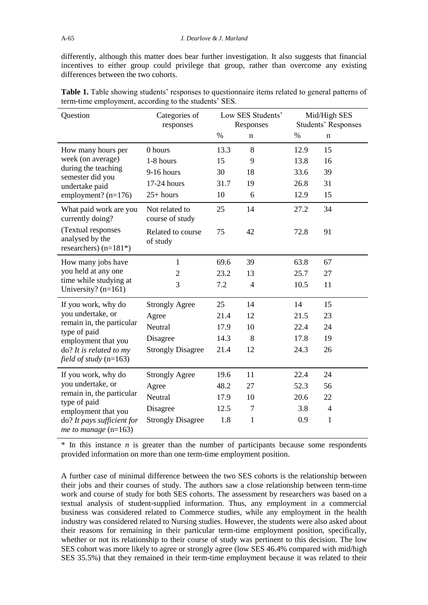differently, although this matter does bear further investigation. It also suggests that financial incentives to either group could privilege that group, rather than overcome any existing differences between the two cohorts.

| Question                                                         | Categories of<br>responses        | Low SES Students'<br>Responses |                | Mid/High SES<br><b>Students' Responses</b> |                |  |
|------------------------------------------------------------------|-----------------------------------|--------------------------------|----------------|--------------------------------------------|----------------|--|
|                                                                  |                                   | $\%$                           | n              | $\%$                                       | n              |  |
| How many hours per                                               | 0 hours                           | 13.3                           | 8              | 12.9                                       | 15             |  |
| week (on average)<br>during the teaching<br>semester did you     | 1-8 hours                         | 15                             | 9              | 13.8                                       | 16             |  |
|                                                                  | $9-16$ hours                      | 30                             | 18             | 33.6                                       | 39             |  |
| undertake paid                                                   | 17-24 hours                       | 31.7                           | 19             | 26.8                                       | 31             |  |
| employment? $(n=176)$                                            | $25+ hours$                       | 10                             | 6              | 12.9                                       | 15             |  |
| What paid work are you<br>currently doing?                       | Not related to<br>course of study | 25                             | 14             | 27.2                                       | 34             |  |
| (Textual responses<br>analysed by the<br>researchers) $(n=181*)$ | Related to course<br>of study     | 75                             | 42             | 72.8                                       | 91             |  |
| How many jobs have                                               | 1                                 | 69.6                           | 39             | 63.8                                       | 67             |  |
| you held at any one                                              | $\overline{2}$                    | 23.2                           | 13             | 25.7                                       | 27             |  |
| time while studying at<br>University? $(n=161)$                  | 3                                 | 7.2                            | $\overline{4}$ | 10.5                                       | 11             |  |
| If you work, why do<br>you undertake, or                         | <b>Strongly Agree</b>             | 25                             | 14             | 14                                         | 15             |  |
|                                                                  | Agree                             | 21.4                           | 12             | 21.5                                       | 23             |  |
| remain in, the particular<br>type of paid                        | Neutral                           | 17.9                           | 10             | 22.4                                       | 24             |  |
| employment that you                                              | Disagree                          | 14.3                           | 8              | 17.8                                       | 19             |  |
| $do?$ It is related to my<br>field of study $(n=163)$            | <b>Strongly Disagree</b>          | 21.4                           | 12             | 24.3                                       | 26             |  |
| If you work, why do                                              | <b>Strongly Agree</b>             | 19.6                           | 11             | 22.4                                       | 24             |  |
| you undertake, or                                                | Agree                             | 48.2                           | 27             | 52.3                                       | 56             |  |
| remain in, the particular<br>type of paid                        | Neutral                           | 17.9                           | 10             | 20.6                                       | 22             |  |
| employment that you                                              | Disagree                          | 12.5                           | $\overline{7}$ | 3.8                                        | $\overline{4}$ |  |
| do? It pays sufficient for<br>me to manage $(n=163)$             | <b>Strongly Disagree</b>          | 1.8                            | $\mathbf{1}$   | 0.9                                        | 1              |  |

**Table 1.** Table showing students' responses to questionnaire items related to general patterns of term-time employment, according to the students' SES.

\* In this instance *n* is greater than the number of participants because some respondents provided information on more than one term-time employment position.

A further case of minimal difference between the two SES cohorts is the relationship between their jobs and their courses of study. The authors saw a close relationship between term-time work and course of study for both SES cohorts. The assessment by researchers was based on a textual analysis of student-supplied information. Thus, any employment in a commercial business was considered related to Commerce studies, while any employment in the health industry was considered related to Nursing studies. However, the students were also asked about their reasons for remaining in their particular term-time employment position, specifically, whether or not its relationship to their course of study was pertinent to this decision. The low SES cohort was more likely to agree or strongly agree (low SES 46.4% compared with mid/high SES 35.5%) that they remained in their term-time employment because it was related to their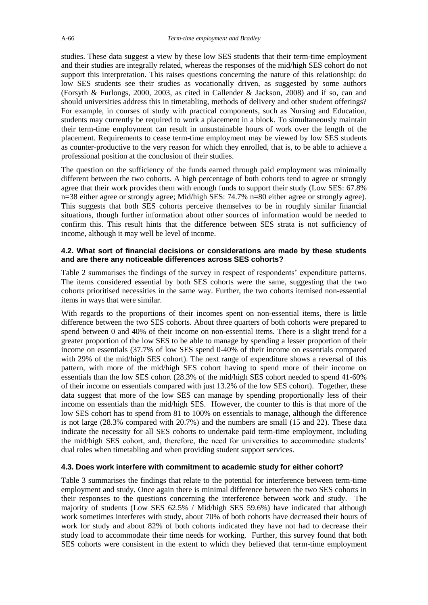studies. These data suggest a view by these low SES students that their term-time employment and their studies are integrally related, whereas the responses of the mid/high SES cohort do not support this interpretation. This raises questions concerning the nature of this relationship: do low SES students see their studies as vocationally driven, as suggested by some authors (Forsyth & Furlongs, 2000, 2003, as cited in Callender & Jackson, 2008) and if so, can and should universities address this in timetabling, methods of delivery and other student offerings? For example, in courses of study with practical components, such as Nursing and Education, students may currently be required to work a placement in a block. To simultaneously maintain their term-time employment can result in unsustainable hours of work over the length of the placement. Requirements to cease term-time employment may be viewed by low SES students as counter-productive to the very reason for which they enrolled, that is, to be able to achieve a professional position at the conclusion of their studies.

The question on the sufficiency of the funds earned through paid employment was minimally different between the two cohorts. A high percentage of both cohorts tend to agree or strongly agree that their work provides them with enough funds to support their study (Low SES: 67.8% n=38 either agree or strongly agree; Mid/high SES: 74.7% n=80 either agree or strongly agree). This suggests that both SES cohorts perceive themselves to be in roughly similar financial situations, though further information about other sources of information would be needed to confirm this. This result hints that the difference between SES strata is not sufficiency of income, although it may well be level of income.

#### **4.2. What sort of financial decisions or considerations are made by these students and are there any noticeable differences across SES cohorts?**

Table 2 summarises the findings of the survey in respect of respondents' expenditure patterns. The items considered essential by both SES cohorts were the same, suggesting that the two cohorts prioritised necessities in the same way. Further, the two cohorts itemised non-essential items in ways that were similar.

With regards to the proportions of their incomes spent on non-essential items, there is little difference between the two SES cohorts. About three quarters of both cohorts were prepared to spend between 0 and 40% of their income on non-essential items. There is a slight trend for a greater proportion of the low SES to be able to manage by spending a lesser proportion of their income on essentials (37.7% of low SES spend 0-40% of their income on essentials compared with 29% of the mid/high SES cohort). The next range of expenditure shows a reversal of this pattern, with more of the mid/high SES cohort having to spend more of their income on essentials than the low SES cohort (28.3% of the mid/high SES cohort needed to spend 41-60% of their income on essentials compared with just 13.2% of the low SES cohort). Together, these data suggest that more of the low SES can manage by spending proportionally less of their income on essentials than the mid/high SES. However, the counter to this is that more of the low SES cohort has to spend from 81 to 100% on essentials to manage, although the difference is not large (28.3% compared with 20.7%) and the numbers are small (15 and 22). These data indicate the necessity for all SES cohorts to undertake paid term-time employment, including the mid/high SES cohort, and, therefore, the need for universities to accommodate students' dual roles when timetabling and when providing student support services.

#### **4.3. Does work interfere with commitment to academic study for either cohort?**

Table 3 summarises the findings that relate to the potential for interference between term-time employment and study. Once again there is minimal difference between the two SES cohorts in their responses to the questions concerning the interference between work and study. The majority of students (Low SES 62.5% / Mid/high SES 59.6%) have indicated that although work sometimes interferes with study, about 70% of both cohorts have decreased their hours of work for study and about 82% of both cohorts indicated they have not had to decrease their study load to accommodate their time needs for working. Further, this survey found that both SES cohorts were consistent in the extent to which they believed that term-time employment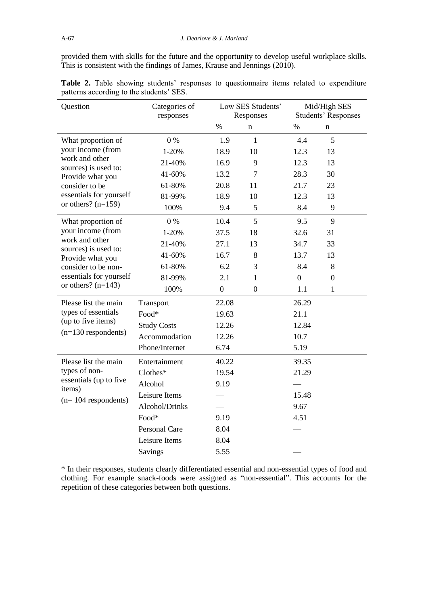provided them with skills for the future and the opportunity to develop useful workplace skills. This is consistent with the findings of James, Krause and Jennings (2010).

| Question                                                                                           | Categories of<br>responses | Low SES Students'<br>Responses |                  | Mid/High SES<br><b>Students' Responses</b> |                  |  |
|----------------------------------------------------------------------------------------------------|----------------------------|--------------------------------|------------------|--------------------------------------------|------------------|--|
|                                                                                                    |                            | $\%$                           | n                | $\%$                                       | n                |  |
| What proportion of                                                                                 | 0%                         | 1.9                            | $\mathbf{1}$     | 4.4                                        | 5                |  |
| your income (from                                                                                  | 1-20%                      | 18.9                           | 10               | 12.3                                       | 13               |  |
| work and other<br>sources) is used to:                                                             | 21-40%                     | 16.9                           | 9                | 12.3                                       | 13               |  |
| Provide what you                                                                                   | 41-60%                     | 13.2                           | 7                | 28.3                                       | 30               |  |
| consider to be                                                                                     | 61-80%                     | 20.8                           | 11               | 21.7                                       | 23               |  |
| essentials for yourself                                                                            | 81-99%                     | 18.9                           | 10               | 12.3                                       | 13               |  |
| or others? $(n=159)$                                                                               | 100%                       | 9.4                            | 5                | 8.4                                        | 9                |  |
| What proportion of                                                                                 | $0\%$                      | 10.4                           | 5                | 9.5                                        | 9                |  |
| your income (from                                                                                  | 1-20%                      | 37.5                           | 18               | 32.6                                       | 31               |  |
| work and other<br>sources) is used to:                                                             | 21-40%                     | 27.1                           | 13               | 34.7                                       | 33               |  |
| Provide what you<br>consider to be non-<br>essentials for yourself<br>or others? $(n=143)$         | 41-60%                     | 16.7                           | 8                | 13.7                                       | 13               |  |
|                                                                                                    | 61-80%                     | 6.2                            | 3                | 8.4                                        | 8                |  |
|                                                                                                    | 81-99%                     | 2.1                            | 1                | $\overline{0}$                             | $\boldsymbol{0}$ |  |
|                                                                                                    | 100%                       | $\boldsymbol{0}$               | $\boldsymbol{0}$ | 1.1                                        | $\mathbf{1}$     |  |
| Please list the main                                                                               | Transport                  | 22.08                          |                  | 26.29                                      |                  |  |
| types of essentials<br>(up to five items)<br>$(n=130$ respondents)                                 | Food*                      | 19.63                          |                  | 21.1                                       |                  |  |
|                                                                                                    | <b>Study Costs</b>         | 12.26                          |                  | 12.84                                      |                  |  |
|                                                                                                    | Accommodation              | 12.26                          |                  | 10.7                                       |                  |  |
|                                                                                                    | Phone/Internet             | 6.74                           |                  | 5.19                                       |                  |  |
| Please list the main<br>types of non-<br>essentials (up to five<br>items)<br>$(n=104$ respondents) | Entertainment              | 40.22                          |                  | 39.35                                      |                  |  |
|                                                                                                    | Clothes*                   | 19.54                          |                  | 21.29                                      |                  |  |
|                                                                                                    | Alcohol                    | 9.19                           |                  |                                            |                  |  |
|                                                                                                    | Leisure Items              |                                |                  | 15.48                                      |                  |  |
|                                                                                                    | Alcohol/Drinks             |                                |                  | 9.67                                       |                  |  |
|                                                                                                    | Food*                      | 9.19                           |                  | 4.51                                       |                  |  |
|                                                                                                    | <b>Personal Care</b>       | 8.04                           |                  |                                            |                  |  |
|                                                                                                    | Leisure Items              | 8.04                           |                  |                                            |                  |  |
|                                                                                                    | Savings                    | 5.55                           |                  |                                            |                  |  |

**Table 2.** Table showing students' responses to questionnaire items related to expenditure patterns according to the students' SES.

\* In their responses, students clearly differentiated essential and non-essential types of food and clothing. For example snack-foods were assigned as "non-essential". This accounts for the repetition of these categories between both questions.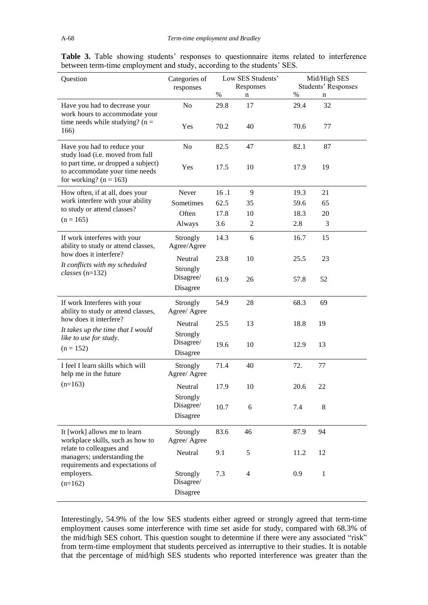|  |  |  | <b>Table 3.</b> Table showing students' responses to questionnaire items related to interference |  |  |
|--|--|--|--------------------------------------------------------------------------------------------------|--|--|
|  |  |  | between term-time employment and study, according to the students' SES.                          |  |  |

| Question                                                                                            | Categories of<br>responses        | Low SES Students'<br>Responses |                | Mid/High SES<br><b>Students' Responses</b> |              |  |
|-----------------------------------------------------------------------------------------------------|-----------------------------------|--------------------------------|----------------|--------------------------------------------|--------------|--|
|                                                                                                     |                                   | $\%$                           | n              | $\%$                                       | n            |  |
| Have you had to decrease your<br>work hours to accommodate your                                     | No                                | 29.8                           | 17             | 29.4                                       | 32           |  |
| time needs while studying? ( $n =$<br>166)                                                          | Yes                               | 70.2                           | 40             | 70.6                                       | 77           |  |
| Have you had to reduce your<br>study load (i.e. moved from full                                     | No                                | 82.5                           | 47             | 82.1                                       | 87           |  |
| to part time, or dropped a subject)<br>to accommodate your time needs<br>for working? ( $n = 163$ ) | Yes                               | 17.5                           | 10             | 17.9                                       | 19           |  |
| How often, if at all, does your                                                                     | Never                             | 16.1                           | 9              | 19.3                                       | 21           |  |
| work interfere with your ability                                                                    | Sometimes                         | 62.5                           | 35             | 59.6                                       | 65           |  |
| to study or attend classes?                                                                         | Often                             | 17.8                           | 10             | 18.3                                       | 20           |  |
| $(n = 165)$                                                                                         | Always                            | 3.6                            | $\overline{2}$ | 2.8                                        | 3            |  |
| If work interferes with your<br>ability to study or attend classes,                                 | Strongly<br>Agree/Agree           | 14.3                           | 6              | 16.7                                       | 15           |  |
| how does it interfere?                                                                              | Neutral                           | 23.8                           | 10             | 25.5                                       | 23           |  |
| It conflicts with my scheduled<br>$classes$ (n=132)                                                 | Strongly<br>Disagree/<br>Disagree | 61.9                           | 26             | 57.8                                       | 52           |  |
| If work Interferes with your<br>ability to study or attend classes,                                 | Strongly<br>Agree/ Agree          | 54.9                           | 28             | 68.3                                       | 69           |  |
| how does it interfere?<br>It takes up the time that I would                                         | Neutral                           | 25.5                           | 13             | 18.8                                       | 19           |  |
| like to use for study.<br>$(n = 152)$                                                               | Strongly<br>Disagree/<br>Disagree | 19.6                           | 10             | 12.9                                       | 13           |  |
| I feel I learn skills which will<br>help me in the future                                           | Strongly<br>Agree/ Agree          | 71.4                           | 40             | 72.                                        | 77           |  |
| $(n=163)$                                                                                           | Neutral                           | 17.9                           | 10             | 20.6                                       | 22           |  |
|                                                                                                     | Strongly<br>Disagree/<br>Disagree | 10.7                           | 6              | 7.4                                        | 8            |  |
| It [work] allows me to learn<br>workplace skills, such as how to                                    | Strongly<br>Agree/ Agree          | 83.6                           | 46             | 87.9                                       | 94           |  |
| relate to colleagues and<br>managers; understanding the<br>requirements and expectations of         | Neutral                           | 9.1                            | 5              | 11.2                                       | 12           |  |
| employers.<br>$(n=162)$                                                                             | Strongly<br>Disagree/<br>Disagree | 7.3                            | 4              | 0.9                                        | $\mathbf{1}$ |  |

Interestingly, 54.9% of the low SES students either agreed or strongly agreed that term-time employment causes some interference with time set aside for study, compared with 68.3% of the mid/high SES cohort. This question sought to determine if there were any associated "risk" from term-time employment that students perceived as interruptive to their studies. It is notable that the percentage of mid/high SES students who reported interference was greater than the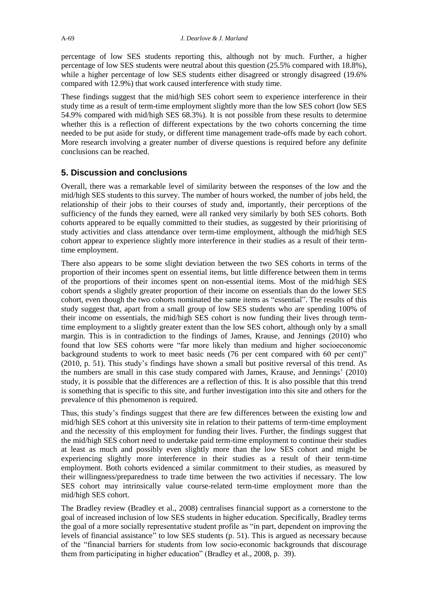percentage of low SES students reporting this, although not by much. Further, a higher percentage of low SES students were neutral about this question (25.5% compared with 18.8%), while a higher percentage of low SES students either disagreed or strongly disagreed (19.6% compared with 12.9%) that work caused interference with study time.

These findings suggest that the mid/high SES cohort seem to experience interference in their study time as a result of term-time employment slightly more than the low SES cohort (low SES 54.9% compared with mid/high SES 68.3%). It is not possible from these results to determine whether this is a reflection of different expectations by the two cohorts concerning the time needed to be put aside for study, or different time management trade-offs made by each cohort. More research involving a greater number of diverse questions is required before any definite conclusions can be reached.

# **5. Discussion and conclusions**

Overall, there was a remarkable level of similarity between the responses of the low and the mid/high SES students to this survey. The number of hours worked, the number of jobs held, the relationship of their jobs to their courses of study and, importantly, their perceptions of the sufficiency of the funds they earned, were all ranked very similarly by both SES cohorts. Both cohorts appeared to be equally committed to their studies, as suggested by their prioritising of study activities and class attendance over term-time employment, although the mid/high SES cohort appear to experience slightly more interference in their studies as a result of their termtime employment.

There also appears to be some slight deviation between the two SES cohorts in terms of the proportion of their incomes spent on essential items, but little difference between them in terms of the proportions of their incomes spent on non-essential items. Most of the mid/high SES cohort spends a slightly greater proportion of their income on essentials than do the lower SES cohort, even though the two cohorts nominated the same items as "essential". The results of this study suggest that, apart from a small group of low SES students who are spending 100% of their income on essentials, the mid/high SES cohort is now funding their lives through termtime employment to a slightly greater extent than the low SES cohort, although only by a small margin. This is in contradiction to the findings of James, Krause, and Jennings (2010) who found that low SES cohorts were "far more likely than medium and higher socioeconomic background students to work to meet basic needs (76 per cent compared with 60 per cent)" (2010, p. 51). This study's findings have shown a small but positive reversal of this trend. As the numbers are small in this case study compared with James, Krause, and Jennings' (2010) study, it is possible that the differences are a reflection of this. It is also possible that this trend is something that is specific to this site, and further investigation into this site and others for the prevalence of this phenomenon is required.

Thus, this study's findings suggest that there are few differences between the existing low and mid/high SES cohort at this university site in relation to their patterns of term-time employment and the necessity of this employment for funding their lives. Further, the findings suggest that the mid/high SES cohort need to undertake paid term-time employment to continue their studies at least as much and possibly even slightly more than the low SES cohort and might be experiencing slightly more interference in their studies as a result of their term-time employment. Both cohorts evidenced a similar commitment to their studies, as measured by their willingness/preparedness to trade time between the two activities if necessary. The low SES cohort may intrinsically value course-related term-time employment more than the mid/high SES cohort.

The Bradley review (Bradley et al., 2008) centralises financial support as a cornerstone to the goal of increased inclusion of low SES students in higher education. Specifically, Bradley terms the goal of a more socially representative student profile as "in part, dependent on improving the levels of financial assistance" to low SES students (p. 51). This is argued as necessary because of the "financial barriers for students from low socio-economic backgrounds that discourage them from participating in higher education" (Bradley et al., 2008, p. 39).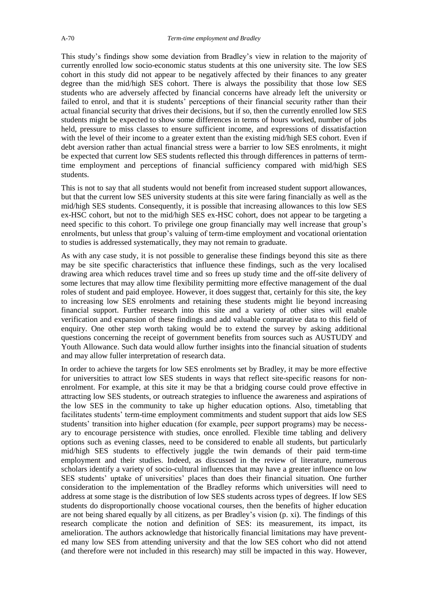This study's findings show some deviation from Bradley's view in relation to the majority of currently enrolled low socio-economic status students at this one university site. The low SES cohort in this study did not appear to be negatively affected by their finances to any greater degree than the mid/high SES cohort. There is always the possibility that those low SES students who are adversely affected by financial concerns have already left the university or failed to enrol, and that it is students' perceptions of their financial security rather than their actual financial security that drives their decisions, but if so, then the currently enrolled low SES students might be expected to show some differences in terms of hours worked, number of jobs held, pressure to miss classes to ensure sufficient income, and expressions of dissatisfaction with the level of their income to a greater extent than the existing mid/high SES cohort. Even if debt aversion rather than actual financial stress were a barrier to low SES enrolments, it might be expected that current low SES students reflected this through differences in patterns of termtime employment and perceptions of financial sufficiency compared with mid/high SES students.

This is not to say that all students would not benefit from increased student support allowances, but that the current low SES university students at this site were faring financially as well as the mid/high SES students. Consequently, it is possible that increasing allowances to this low SES ex-HSC cohort, but not to the mid/high SES ex-HSC cohort, does not appear to be targeting a need specific to this cohort. To privilege one group financially may well increase that group's enrolments, but unless that group's valuing of term-time employment and vocational orientation to studies is addressed systematically, they may not remain to graduate.

As with any case study, it is not possible to generalise these findings beyond this site as there may be site specific characteristics that influence these findings, such as the very localised drawing area which reduces travel time and so frees up study time and the off-site delivery of some lectures that may allow time flexibility permitting more effective management of the dual roles of student and paid employee. However, it does suggest that, certainly for this site, the key to increasing low SES enrolments and retaining these students might lie beyond increasing financial support. Further research into this site and a variety of other sites will enable verification and expansion of these findings and add valuable comparative data to this field of enquiry. One other step worth taking would be to extend the survey by asking additional questions concerning the receipt of government benefits from sources such as AUSTUDY and Youth Allowance. Such data would allow further insights into the financial situation of students and may allow fuller interpretation of research data.

In order to achieve the targets for low SES enrolments set by Bradley, it may be more effective for universities to attract low SES students in ways that reflect site-specific reasons for nonenrolment. For example, at this site it may be that a bridging course could prove effective in attracting low SES students, or outreach strategies to influence the awareness and aspirations of the low SES in the community to take up higher education options. Also, timetabling that facilitates students' term-time employment commitments and student support that aids low SES students' transition into higher education (for example, peer support programs) may be necessary to encourage persistence with studies, once enrolled. Flexible time tabling and delivery options such as evening classes, need to be considered to enable all students, but particularly mid/high SES students to effectively juggle the twin demands of their paid term-time employment and their studies. Indeed, as discussed in the review of literature, numerous scholars identify a variety of socio-cultural influences that may have a greater influence on low SES students' uptake of universities' places than does their financial situation. One further consideration to the implementation of the Bradley reforms which universities will need to address at some stage is the distribution of low SES students across types of degrees. If low SES students do disproportionally choose vocational courses, then the benefits of higher education are not being shared equally by all citizens, as per Bradley's vision (p. xi). The findings of this research complicate the notion and definition of SES: its measurement, its impact, its amelioration. The authors acknowledge that historically financial limitations may have prevented many low SES from attending university and that the low SES cohort who did not attend (and therefore were not included in this research) may still be impacted in this way. However,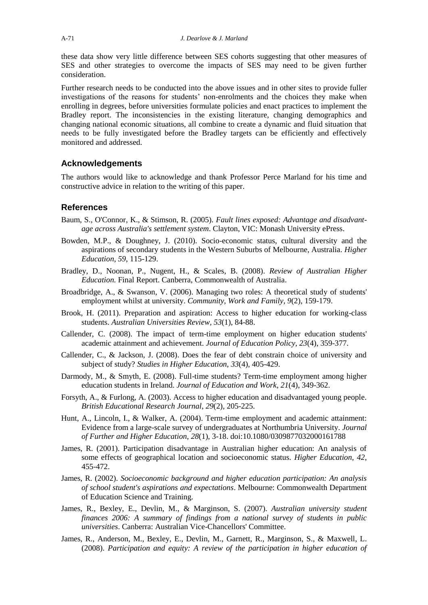these data show very little difference between SES cohorts suggesting that other measures of SES and other strategies to overcome the impacts of SES may need to be given further consideration.

Further research needs to be conducted into the above issues and in other sites to provide fuller investigations of the reasons for students' non-enrolments and the choices they make when enrolling in degrees, before universities formulate policies and enact practices to implement the Bradley report. The inconsistencies in the existing literature, changing demographics and changing national economic situations, all combine to create a dynamic and fluid situation that needs to be fully investigated before the Bradley targets can be efficiently and effectively monitored and addressed.

#### **Acknowledgements**

The authors would like to acknowledge and thank Professor Perce Marland for his time and constructive advice in relation to the writing of this paper.

#### **References**

- Baum, S., O'Connor, K., & Stimson, R. (2005). *Fault lines exposed: Advantage and disadvantage across Australia's settlement system*. Clayton, VIC: Monash University ePress.
- Bowden, M.P., & Doughney, J. (2010). Socio-economic status, cultural diversity and the aspirations of secondary students in the Western Suburbs of Melbourne, Australia. *Higher Education, 59*, 115-129.
- Bradley, D., Noonan, P., Nugent, H., & Scales, B. (2008). *Review of Australian Higher Education.* Final Report. Canberra, Commonwealth of Australia.
- Broadbridge, A., & Swanson, V. (2006). Managing two roles: A theoretical study of students' employment whilst at university. *Community, Work and Family, 9*(2), 159-179.
- Brook, H. (2011). Preparation and aspiration: Access to higher education for working-class students. *Australian Universities Review, 53*(1), 84-88.
- Callender, C. (2008). The impact of term-time employment on higher education students' academic attainment and achievement. *Journal of Education Policy, 23*(4), 359-377.
- Callender, C., & Jackson, J. (2008). Does the fear of debt constrain choice of university and subject of study? *Studies in Higher Education, 33*(4), 405-429.
- Darmody, M., & Smyth, E. (2008). Full-time students? Term-time employment among higher education students in Ireland. *Journal of Education and Work, 21*(4), 349-362.
- Forsyth, A., & Furlong, A. (2003). Access to higher education and disadvantaged young people. *British Educational Research Journal*, *29*(2), 205-225.
- Hunt, A., Lincoln, I., & Walker, A. (2004). Term-time employment and academic attainment: Evidence from a large-scale survey of undergraduates at Northumbria University. *Journal of Further and Higher Education, 28*(1), 3-18. doi:10.1080/0309877032000161788
- James, R. (2001). Participation disadvantage in Australian higher education: An analysis of some effects of geographical location and socioeconomic status. *Higher Education, 42*, 455-472.
- James, R. (2002). *Socioeconomic background and higher education participation: An analysis of school student's aspirations and expectations*. Melbourne: Commonwealth Department of Education Science and Training.
- James, R., Bexley, E., Devlin, M., & Marginson, S. (2007). *Australian university student finances 2006: A summary of findings from a national survey of students in public universities*. Canberra: Australian Vice-Chancellors' Committee.
- James, R., Anderson, M., Bexley, E., Devlin, M., Garnett, R., Marginson, S., & Maxwell, L. (2008). *Participation and equity: A review of the participation in higher education of*